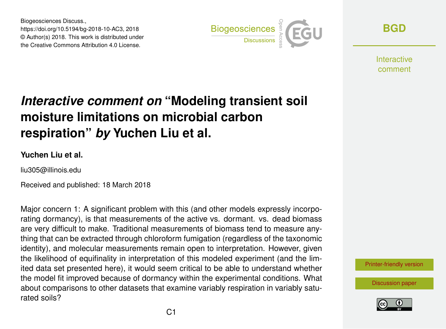Biogeosciences Discuss., https://doi.org/10.5194/bg-2018-10-AC3, 2018 © Author(s) 2018. This work is distributed under the Creative Commons Attribution 4.0 License.



**[BGD](https://www.biogeosciences-discuss.net/)**

Interactive comment

## *Interactive comment on* **"Modeling transient soil moisture limitations on microbial carbon respiration"** *by* **Yuchen Liu et al.**

## **Yuchen Liu et al.**

liu305@illinois.edu

Received and published: 18 March 2018

Major concern 1: A significant problem with this (and other models expressly incorporating dormancy), is that measurements of the active vs. dormant. vs. dead biomass are very difficult to make. Traditional measurements of biomass tend to measure anything that can be extracted through chloroform fumigation (regardless of the taxonomic identity), and molecular measurements remain open to interpretation. However, given the likelihood of equifinality in interpretation of this modeled experiment (and the limited data set presented here), it would seem critical to be able to understand whether the model fit improved because of dormancy within the experimental conditions. What about comparisons to other datasets that examine variably respiration in variably saturated soils?



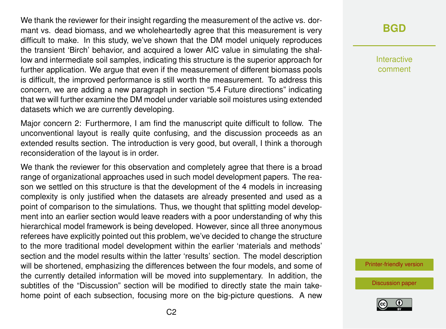We thank the reviewer for their insight regarding the measurement of the active vs. dormant vs. dead biomass, and we wholeheartedly agree that this measurement is very difficult to make. In this study, we've shown that the DM model uniquely reproduces the transient 'Birch' behavior, and acquired a lower AIC value in simulating the shallow and intermediate soil samples, indicating this structure is the superior approach for further application. We argue that even if the measurement of different biomass pools is difficult, the improved performance is still worth the measurement. To address this concern, we are adding a new paragraph in section "5.4 Future directions" indicating that we will further examine the DM model under variable soil moistures using extended datasets which we are currently developing.

Major concern 2: Furthermore, I am find the manuscript quite difficult to follow. The unconventional layout is really quite confusing, and the discussion proceeds as an extended results section. The introduction is very good, but overall, I think a thorough reconsideration of the layout is in order.

We thank the reviewer for this observation and completely agree that there is a broad range of organizational approaches used in such model development papers. The reason we settled on this structure is that the development of the 4 models in increasing complexity is only justified when the datasets are already presented and used as a point of comparison to the simulations. Thus, we thought that splitting model development into an earlier section would leave readers with a poor understanding of why this hierarchical model framework is being developed. However, since all three anonymous referees have explicitly pointed out this problem, we've decided to change the structure to the more traditional model development within the earlier 'materials and methods' section and the model results within the latter 'results' section. The model description will be shortened, emphasizing the differences between the four models, and some of the currently detailed information will be moved into supplementary. In addition, the subtitles of the "Discussion" section will be modified to directly state the main takehome point of each subsection, focusing more on the big-picture questions. A new

**[BGD](https://www.biogeosciences-discuss.net/)**

Interactive comment

[Printer-friendly version](https://www.biogeosciences-discuss.net/bg-2018-10/bg-2018-10-AC3-print.pdf)

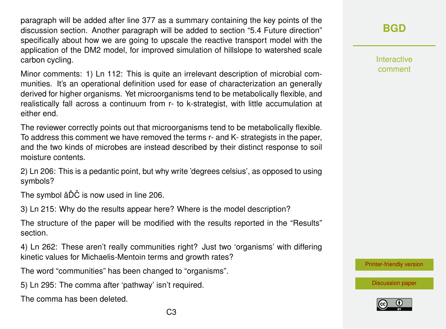paragraph will be added after line 377 as a summary containing the key points of the discussion section. Another paragraph will be added to section "5.4 Future direction" specifically about how we are going to upscale the reactive transport model with the application of the DM2 model, for improved simulation of hillslope to watershed scale carbon cycling.

Minor comments: 1) Ln 112: This is quite an irrelevant description of microbial communities. It's an operational definition used for ease of characterization an generally derived for higher organisms. Yet microorganisms tend to be metabolically flexible, and realistically fall across a continuum from r- to k-strategist, with little accumulation at either end.

The reviewer correctly points out that microorganisms tend to be metabolically flexible. To address this comment we have removed the terms r- and K- strategists in the paper, and the two kinds of microbes are instead described by their distinct response to soil moisture contents.

2) Ln 206: This is a pedantic point, but why write 'degrees celsius', as opposed to using symbols?

The symbol âDČ is now used in line 206.

3) Ln 215: Why do the results appear here? Where is the model description?

The structure of the paper will be modified with the results reported in the "Results" section.

4) Ln 262: These aren't really communities right? Just two 'organisms' with differing kinetic values for Michaelis-Mentoin terms and growth rates?

The word "communities" has been changed to "organisms".

5) Ln 295: The comma after 'pathway' isn't required.

The comma has been deleted.

Interactive comment

[Printer-friendly version](https://www.biogeosciences-discuss.net/bg-2018-10/bg-2018-10-AC3-print.pdf)